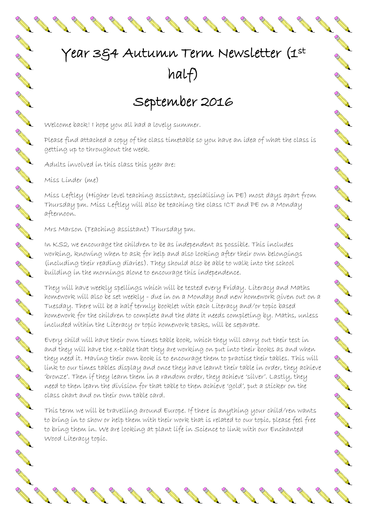## Year 3&4 Autumn Term Newsletter (1st half)

**ANTICOLOGICAL CONTROLLER** 

**ANTICOLOGICAL CONTRACTORISTICS** 

**CONTROLLER** 

A March

A March

**CONTROLLER** 

CONTROLL OF

**ANTI** 

AND RD

A March

AND TO

A REA

A Maria

RANT R

A REA

AND RD

**ANTI** 

AND TO

A March

A March 19

BBBBBBB

## September 2016

Welcome back! I hope you all had a lovely summer.

Please find attached a copy of the class timetable so you have an idea of what the class is getting up to throughout the week.

Adults involved in this class this year are:

**All Contracts** 

Miss Linder (me)

AND A

No. of Canada and Canada and

A REA

Contraction of

A REA

A R.

A RIVER

AN COMMENT

A RIVER

A Red

RANT R

AND ROAD

A REA

A REAL

CONTROLL OF

A REA

A REAL

A R.

AN COMMENT

A REA

A REA

A REA

A REA

RAND COMMANDS

Miss Leftley (Higher level teaching assistant, specialising in PE) most days apart from Thursday pm. Miss Leftley will also be teaching the class ICT and PE on a Monday afternoon.

Mrs Marson (Teaching assistant) Thursday pm.

In KS2, we encourage the children to be as independent as possible. This includes working, knowing when to ask for help and also looking after their own belongings (including their reading diaries). They should also be able to walk into the school building in the mornings alone to encourage this independence.

They will have weekly spellings which will be tested every Friday. Literacy and Maths homework will also be set weekly - due in on a Monday and new homework given out on a Tuesday. There will be a half termly booklet with each Literacy and/or topic based homework for the children to complete and the date it needs completing by. Maths, unless included within the Literacy or topic homework tasks, will be separate.

Every child will have their own times table book, which they will carry out their test in and they will have the x-table that they are working on put into their books as and when they need it. Having their own book is to encourage them to practise their tables. This will link to our times tables display and once they have learnt their table in order, they achieve 'bronze'. Then if they learn them in a random order, they achieve 'silver'. Lastly, they need to then learn the division for that table to then achieve 'gold', put a sticker on the class chart and on their own table card.

This term we will be travelling around Europe. If there is anything your child/ren wants to bring in to show or help them with their work that is related to our topic, please feel free to bring them in. We are looking at plant life in Science to link with our Enchanted Wood Literacy topic.